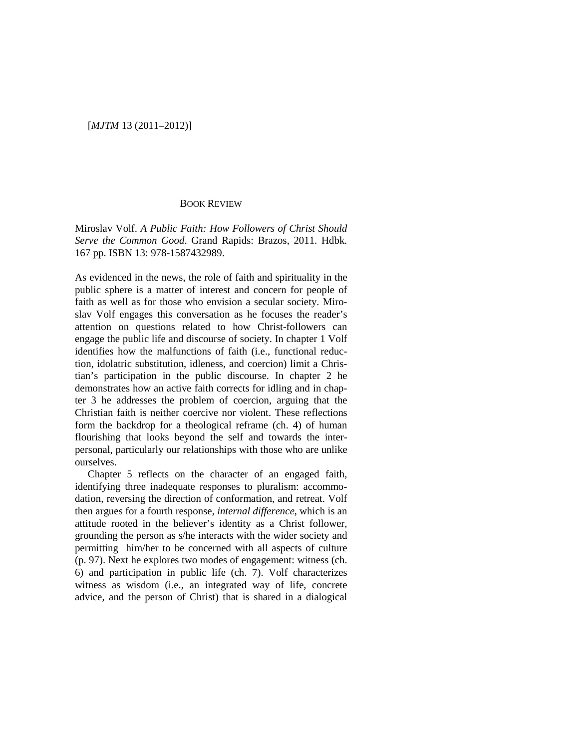## [*MJTM* 13 (2011–2012)]

## BOOK REVIEW

Miroslav Volf. *A Public Faith: How Followers of Christ Should Serve the Common Good*. Grand Rapids: Brazos, 2011. Hdbk. 167 pp. ISBN 13: 978-1587432989.

As evidenced in the news, the role of faith and spirituality in the public sphere is a matter of interest and concern for people of faith as well as for those who envision a secular society. Miroslav Volf engages this conversation as he focuses the reader's attention on questions related to how Christ-followers can engage the public life and discourse of society. In chapter 1 Volf identifies how the malfunctions of faith (i.e., functional reduction, idolatric substitution, idleness, and coercion) limit a Christian's participation in the public discourse. In chapter 2 he demonstrates how an active faith corrects for idling and in chapter 3 he addresses the problem of coercion, arguing that the Christian faith is neither coercive nor violent. These reflections form the backdrop for a theological reframe (ch. 4) of human flourishing that looks beyond the self and towards the interpersonal, particularly our relationships with those who are unlike ourselves.

Chapter 5 reflects on the character of an engaged faith, identifying three inadequate responses to pluralism: accommodation, reversing the direction of conformation, and retreat. Volf then argues for a fourth response, *internal difference*, which is an attitude rooted in the believer's identity as a Christ follower, grounding the person as s/he interacts with the wider society and permitting him/her to be concerned with all aspects of culture (p. 97). Next he explores two modes of engagement: witness (ch. 6) and participation in public life (ch. 7). Volf characterizes witness as wisdom (i.e., an integrated way of life, concrete advice, and the person of Christ) that is shared in a dialogical